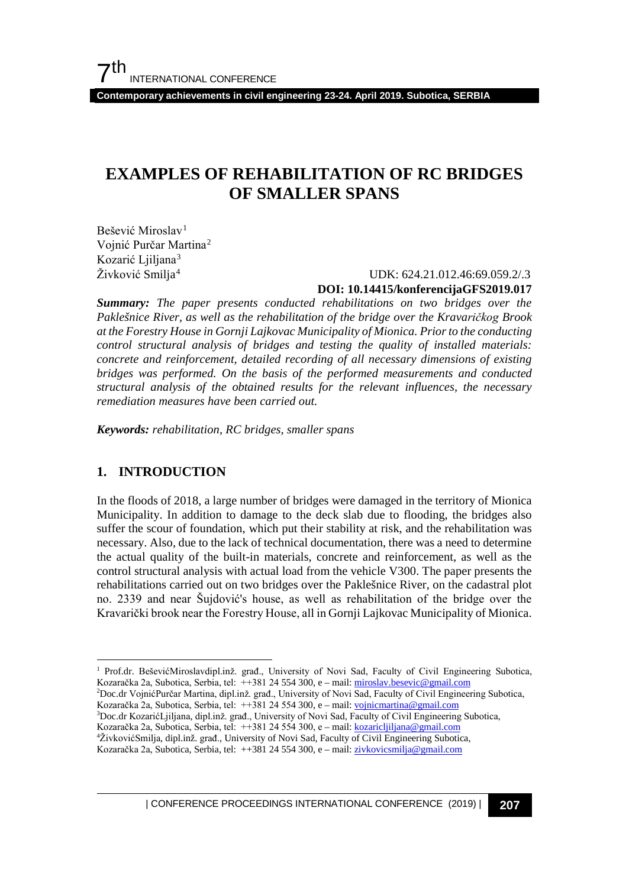**Contemporary achievements in civil engineering 23-24. April 2019. Subotica, SERBIA**

# **EXAMPLES OF REHABILITATION OF RC BRIDGES OF SMALLER SPANS**

Bešević Miroslav<sup>[1](#page-0-0)</sup> Vojnić Purčar Martina[2](#page-0-1) Kozarić Liiliana<sup>[3](#page-0-2)</sup> Živković Smilja<sup>[4](#page-0-3)</sup>

## UDK: 624.21.012.46:69.059.2/.3 **DOI: 10.14415/konferencijaGFS2019.017**

*Summary: The paper presents conducted rehabilitations on two bridges over the Paklešnice River, as well as the rehabilitation of the bridge over the Kravaričkog Brook at the Forestry House in Gornji Lajkovac Municipality of Mionica. Prior to the conducting control structural analysis of bridges and testing the quality of installed materials: concrete and reinforcement, detailed recording of all necessary dimensions of existing bridges was performed. On the basis of the performed measurements and conducted structural analysis of the obtained results for the relevant influences, the necessary remediation measures have been carried out.*

*Keywords: rehabilitation, RC bridges, smaller spans*

### **1. INTRODUCTION**

In the floods of 2018, a large number of bridges were damaged in the territory of Mionica Municipality. In addition to damage to the deck slab due to flooding, the bridges also suffer the scour of foundation, which put their stability at risk, and the rehabilitation was necessary. Also, due to the lack of technical documentation, there was a need to determine the actual quality of the built-in materials, concrete and reinforcement, as well as the control structural analysis with actual load from the vehicle V300. The paper presents the rehabilitations carried out on two bridges over the Paklešnice River, on the cadastral plot no. 2339 and near Šujdović's house, as well as rehabilitation of the bridge over the Kravarički brook near the Forestry House, all in Gornji Lajkovac Municipality of Mionica.

3 Doc.dr KozarićLjiljana, dipl.inž. građ., University of Novi Sad, Faculty of Civil Engineering Subotica,

| CONFERENCE PROCEEDINGS INTERNATIONAL CONFERENCE (2019) <sup>|</sup>**207**

<span id="page-0-0"></span><sup>&</sup>lt;sup>1</sup> Prof.dr. BeševićMiroslavdipl.inž. građ., University of Novi Sad, Faculty of Civil Engineering Subotica, Kozaračka 2a, Subotica, Serbia, tel: ++381 24 554 300, e - mail: [miroslav.besevic@gmail.com](mailto:miroslav.besevic@gmail.com)

<span id="page-0-1"></span><sup>2</sup> Doc.dr VojnićPurčar Martina, dipl.inž. građ., University of Novi Sad, Faculty of Civil Engineering Subotica, Kozaračka 2a, Subotica, Serbia, tel: ++381 24 554 300, e – mail: [vojnicmartina@gmail.com](mailto:miroslav.besevic@gmail.com)

<span id="page-0-2"></span>Kozaračka 2a, Subotica, Serbia, tel: ++381 24 554 300, e – mail: [kozaricljiljana@gmail.com](mailto:miroslav.besevic@gmail.com)

<sup>4</sup> ŽivkovićSmilja, dipl.inž. građ., University of Novi Sad, Faculty of Civil Engineering Subotica,

<span id="page-0-3"></span>Kozaračka 2a, Subotica, Serbia, tel: ++381 24 554 300, e – mail: [zivkovicsmilja@gmail.com](mailto:miroslav.besevic@gmail.com)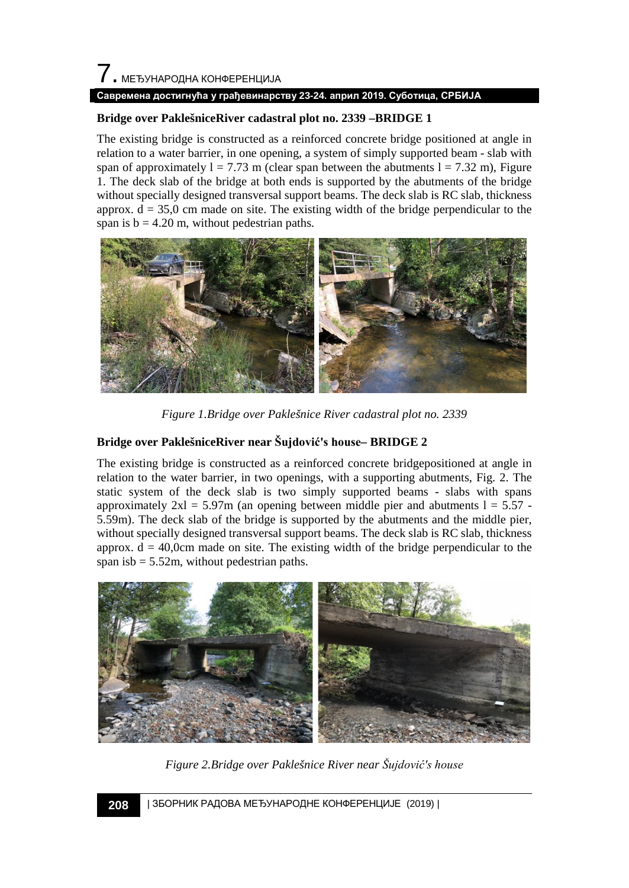#### **Bridge over PaklešniceRiver cadastral plot no. 2339 –BRIDGE 1**

The existing bridge is constructed as a reinforced concrete bridge positioned at angle in relation to a water barrier, in one opening, a system of simply supported beam - slab with span of approximately  $l = 7.73$  m (clear span between the abutments  $l = 7.32$  m), Figure 1. The deck slab of the bridge at both ends is supported by the abutments of the bridge without specially designed transversal support beams. The deck slab is RC slab, thickness approx.  $d = 35.0$  cm made on site. The existing width of the bridge perpendicular to the span is  $b = 4.20$  m, without pedestrian paths.



*Figure 1.Bridge over Paklešnice River cadastral plot no. 2339*

### **Bridge over PaklešniceRiver near Šujdović's house– BRIDGE 2**

The existing bridge is constructed as a reinforced concrete bridgepositioned at angle in relation to the water barrier, in two openings, with a supporting abutments, Fig. 2. The static system of the deck slab is two simply supported beams - slabs with spans approximately  $2x = 5.97m$  (an opening between middle pier and abutments  $1 = 5.57$ . 5.59m). The deck slab of the bridge is supported by the abutments and the middle pier, without specially designed transversal support beams. The deck slab is RC slab, thickness approx.  $d = 40,0$ cm made on site. The existing width of the bridge perpendicular to the span isb  $= 5.52$ m, without pedestrian paths.



*Figure 2.Bridge over Paklešnice River near Šujdović's house*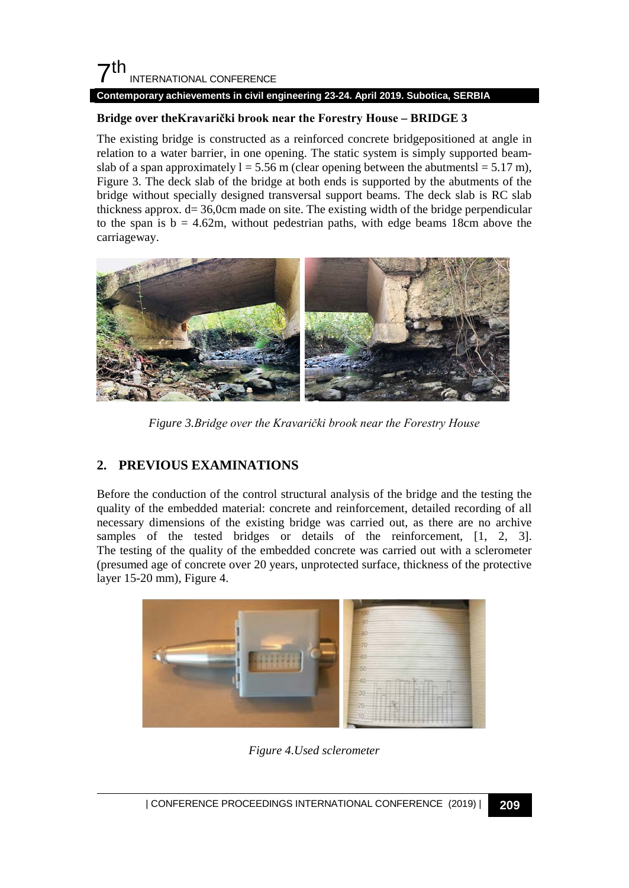#### **Contemporary achievements in civil engineering 23-24. April 2019. Subotica, SERBIA**

### **Bridge over theKravarički brook near the Forestry House – BRIDGE 3**

The existing bridge is constructed as a reinforced concrete bridgepositioned at angle in relation to a water barrier, in one opening. The static system is simply supported beamslab of a span approximately  $l = 5.56$  m (clear opening between the abutmentsl =  $5.17$  m), Figure 3. The deck slab of the bridge at both ends is supported by the abutments of the bridge without specially designed transversal support beams. The deck slab is RC slab thickness approx. d= 36,0cm made on site. The existing width of the bridge perpendicular to the span is  $b = 4.62m$ , without pedestrian paths, with edge beams 18cm above the carriageway.



*Figure 3.Bridge over the Kravarički brook near the Forestry House*

## **2. PREVIOUS EXAMINATIONS**

Before the conduction of the control structural analysis of the bridge and the testing the quality of the embedded material: concrete and reinforcement, detailed recording of all necessary dimensions of the existing bridge was carried out, as there are no archive samples of the tested bridges or details of the reinforcement, [1, 2, 3]. The testing of the quality of the embedded concrete was carried out with a sclerometer (presumed age of concrete over 20 years, unprotected surface, thickness of the protective layer 15-20 mm), Figure 4.



*Figure 4.Used sclerometer*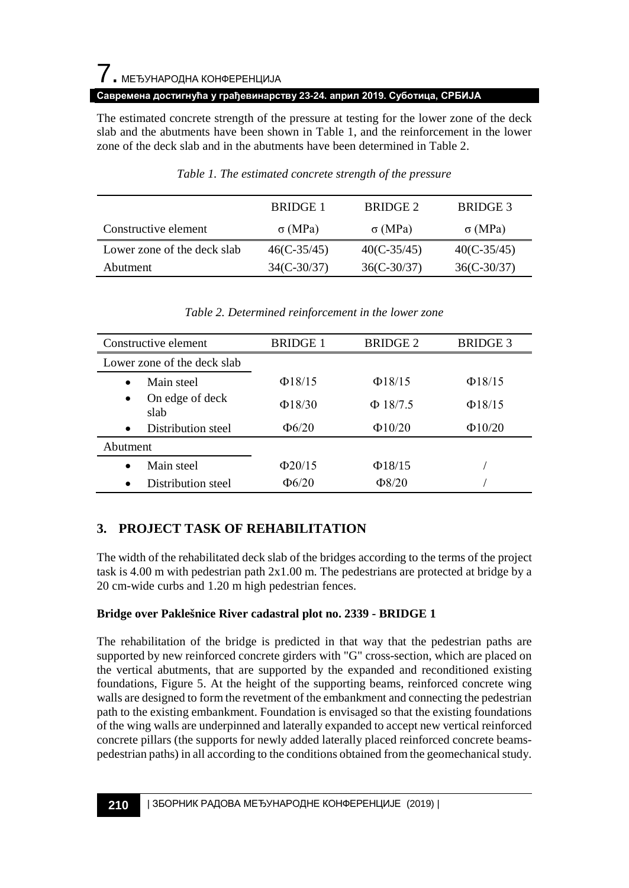The estimated concrete strength of the pressure at testing for the lower zone of the deck slab and the abutments have been shown in Table 1, and the reinforcement in the lower zone of the deck slab and in the abutments have been determined in Table 2.

|                             | BRIDGE 1       | BRIDGE 2      | BRIDGE 3       |
|-----------------------------|----------------|---------------|----------------|
| Constructive element        | $\sigma$ (MPa) | $\sigma(MPa)$ | $\sigma$ (MPa) |
| Lower zone of the deck slab | $46(C-35/45)$  | $40(C-35/45)$ | $40(C-35/45)$  |
| Abutment                    | $34(C-30/37)$  | $36(C-30/37)$ | $36(C-30/37)$  |

#### *Table 1. The estimated concrete strength of the pressure*

| Constructive element                 | <b>BRIDGE 1</b> | <b>BRIDGE 2</b> | <b>BRIDGE 3</b> |
|--------------------------------------|-----------------|-----------------|-----------------|
| Lower zone of the deck slab          |                 |                 |                 |
| Main steel<br>$\bullet$              | $\Phi$ 18/15    | $\Phi$ 18/15    | $\Phi$ 18/15    |
| On edge of deck<br>$\bullet$<br>slab | $\Phi$ 18/30    | $\Phi$ 18/7.5   | $\Phi$ 18/15    |
| Distribution steel<br>$\bullet$      | $\Phi$ 6/20     | $\Phi$ 10/20    | $\Phi$ 10/20    |
| Abutment                             |                 |                 |                 |
| Main steel<br>$\bullet$              | $\Phi$ 20/15    | $\Phi$ 18/15    |                 |
| Distribution steel<br>$\bullet$      | $\Phi$ 6/20     | $\Phi$ 8/20     |                 |

*Table 2. Determined reinforcement in the lower zone*

## **3. PROJECT TASK OF REHABILITATION**

The width of the rehabilitated deck slab of the bridges according to the terms of the project task is 4.00 m with pedestrian path 2x1.00 m. The pedestrians are protected at bridge by a 20 cm-wide curbs and 1.20 m high pedestrian fences.

### **Bridge over Paklešnice River cadastral plot no. 2339 - BRIDGE 1**

The rehabilitation of the bridge is predicted in that way that the pedestrian paths are supported by new reinforced concrete girders with "G" cross-section, which are placed on the vertical abutments, that are supported by the expanded and reconditioned existing foundations, Figure 5. At the height of the supporting beams, reinforced concrete wing walls are designed to form the revetment of the embankment and connecting the pedestrian path to the existing embankment. Foundation is envisaged so that the existing foundations of the wing walls are underpinned and laterally expanded to accept new vertical reinforced concrete pillars (the supports for newly added laterally placed reinforced concrete beamspedestrian paths) in all according to the conditions obtained from the geomechanical study.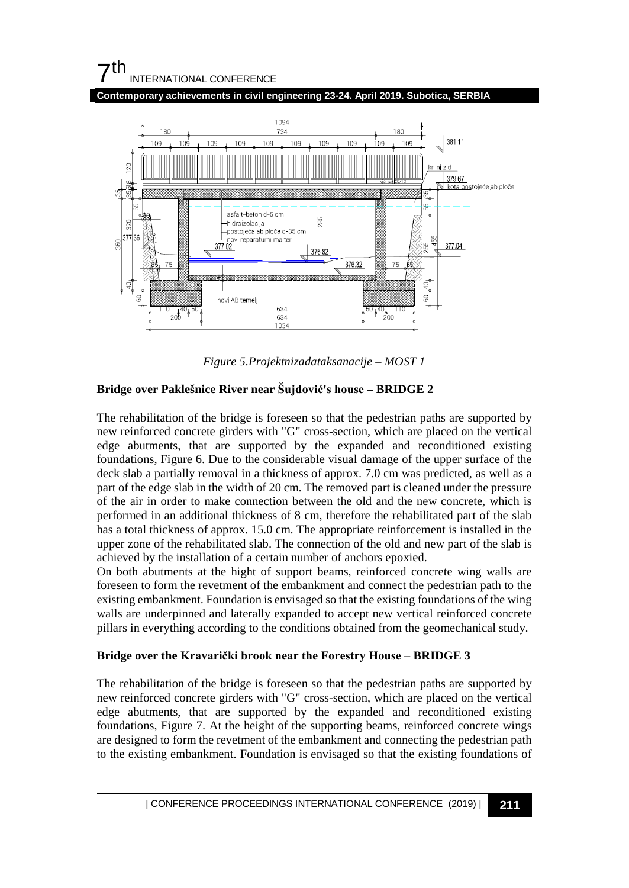**Contemporary achievements in civil engineering 23-24. April 2019. Subotica, SERBIA**



*Figure 5.Projektnizadataksanacije – MOST 1*

### **Bridge over Paklešnice River near Šujdović's house – BRIDGE 2**

The rehabilitation of the bridge is foreseen so that the pedestrian paths are supported by new reinforced concrete girders with "G" cross-section, which are placed on the vertical edge abutments, that are supported by the expanded and reconditioned existing foundations, Figure 6. Due to the considerable visual damage of the upper surface of the deck slab a partially removal in a thickness of approx. 7.0 cm was predicted, as well as a part of the edge slab in the width of 20 cm. The removed part is cleaned under the pressure of the air in order to make connection between the old and the new concrete, which is performed in an additional thickness of 8 cm, therefore the rehabilitated part of the slab has a total thickness of approx. 15.0 cm. The appropriate reinforcement is installed in the upper zone of the rehabilitated slab. The connection of the old and new part of the slab is achieved by the installation of a certain number of anchors epoxied.

On both abutments at the hight of support beams, reinforced concrete wing walls are foreseen to form the revetment of the embankment and connect the pedestrian path to the existing embankment. Foundation is envisaged so that the existing foundations of the wing walls are underpinned and laterally expanded to accept new vertical reinforced concrete pillars in everything according to the conditions obtained from the geomechanical study.

### **Bridge over the Kravarički brook near the Forestry House – BRIDGE 3**

The rehabilitation of the bridge is foreseen so that the pedestrian paths are supported by new reinforced concrete girders with "G" cross-section, which are placed on the vertical edge abutments, that are supported by the expanded and reconditioned existing foundations, Figure 7. At the height of the supporting beams, reinforced concrete wings are designed to form the revetment of the embankment and connecting the pedestrian path to the existing embankment. Foundation is envisaged so that the existing foundations of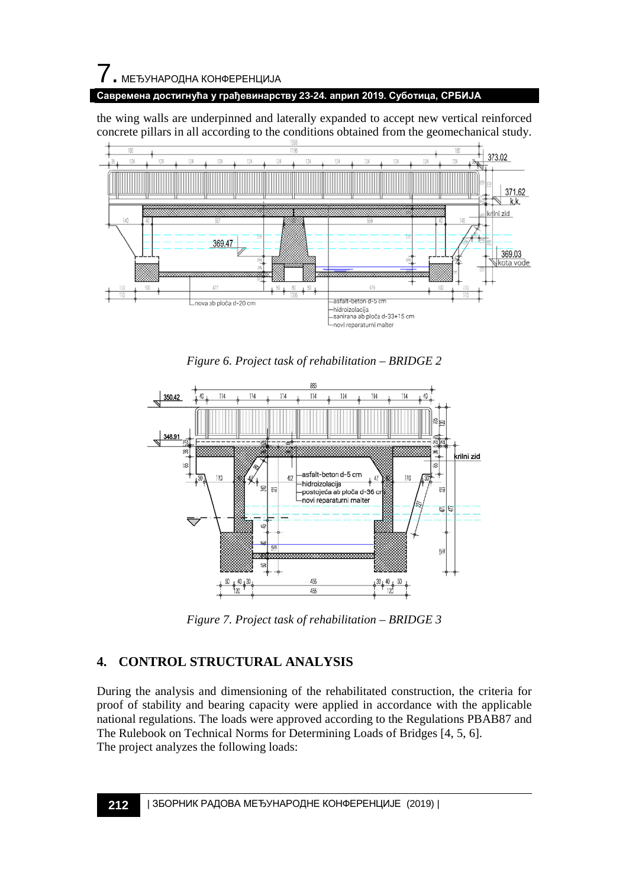$\overline{\phantom{a}}$ . МЕЂУНАРОДНА КОНФЕРЕНЦИЈА

**Савремена достигнућа у грађевинарству 23-24. април 2019. Суботица, СРБИЈА**

the wing walls are underpinned and laterally expanded to accept new vertical reinforced concrete pillars in all according to the conditions obtained from the geomechanical study.



*Figure 6. Project task of rehabilitation – BRIDGE 2*



*Figure 7. Project task of rehabilitation – BRIDGE 3*

## **4. CONTROL STRUCTURAL ANALYSIS**

During the analysis and dimensioning of the rehabilitated construction, the criteria for proof of stability and bearing capacity were applied in accordance with the applicable national regulations. The loads were approved according to the Regulations PBAB87 and The Rulebook on Technical Norms for Determining Loads of Bridges [4, 5, 6]. The project analyzes the following loads: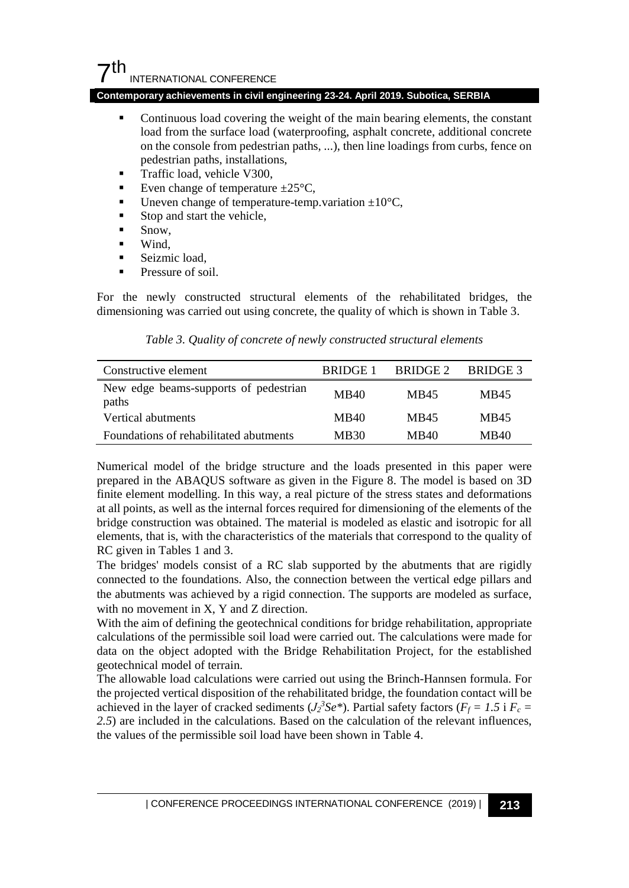#### **Contemporary achievements in civil engineering 23-24. April 2019. Subotica, SERBIA**

- Continuous load covering the weight of the main bearing elements, the constant load from the surface load (waterproofing, asphalt concrete, additional concrete on the console from pedestrian paths, ...), then line loadings from curbs, fence on pedestrian paths, installations,
- Traffic load, vehicle V300,
- Even change of temperature  $\pm 25^{\circ}$ C,
- Uneven change of temperature-temp.variation  $\pm 10^{\circ}$ C,
- Stop and start the vehicle,
- Snow,
- Wind,
- Seizmic load,
- Pressure of soil.

For the newly constructed structural elements of the rehabilitated bridges, the dimensioning was carried out using concrete, the quality of which is shown in Table 3.

*Table 3. Quality of concrete of newly constructed structural elements*

| Constructive element                           | BRIDGE 1 | BRIDGE 2 | BRIDGE 3 |
|------------------------------------------------|----------|----------|----------|
| New edge beams-supports of pedestrian<br>paths | MB40     | MB45     | MB45     |
| Vertical abutments                             | MB40     | MB45     | MB45     |
| Foundations of rehabilitated abutments         | MB30     | MB40     | MB40     |

Numerical model of the bridge structure and the loads presented in this paper were prepared in the ABAQUS software as given in the Figure 8. The model is based on 3D finite element modelling. In this way, a real picture of the stress states and deformations at all points, as well as the internal forces required for dimensioning of the elements of the bridge construction was obtained. The material is modeled as elastic and isotropic for all elements, that is, with the characteristics of the materials that correspond to the quality of RC given in Tables 1 and 3.

The bridges' models consist of a RC slab supported by the abutments that are rigidly connected to the foundations. Also, the connection between the vertical edge pillars and the abutments was achieved by a rigid connection. The supports are modeled as surface, with no movement in X, Y and Z direction.

With the aim of defining the geotechnical conditions for bridge rehabilitation, appropriate calculations of the permissible soil load were carried out. The calculations were made for data on the object adopted with the Bridge Rehabilitation Project, for the established geotechnical model of terrain.

The allowable load calculations were carried out using the Brinch-Hannsen formula. For the projected vertical disposition of the rehabilitated bridge, the foundation contact will be achieved in the layer of cracked sediments ( $J_2$ <sup>3</sup> $S$ *e*<sup>\*</sup>). Partial safety factors ( $F_f = 1.5$  i  $F_c =$ *2.5*) are included in the calculations. Based on the calculation of the relevant influences, the values of the permissible soil load have been shown in Table 4.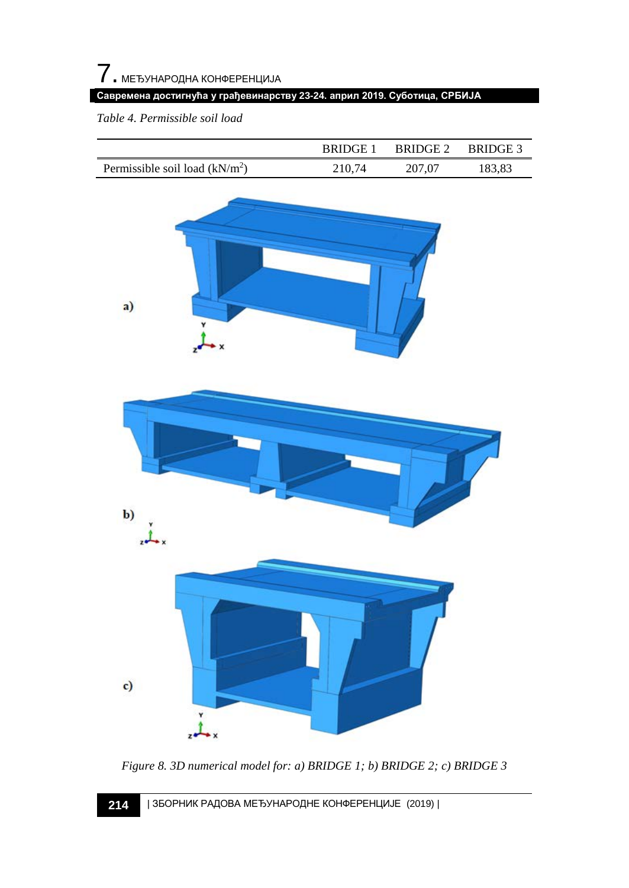*Table 4. Permissible soil load*

|                                 | BRIDGE 1 | BRIDGE 2 | BRIDGE 3 |
|---------------------------------|----------|----------|----------|
| Permissible soil load $(kN/m2)$ | 210.74   | 207.07   | 183,83   |





*Figure 8. 3D numerical model for: a) BRIDGE 1; b) BRIDGE 2; c) BRIDGE 3*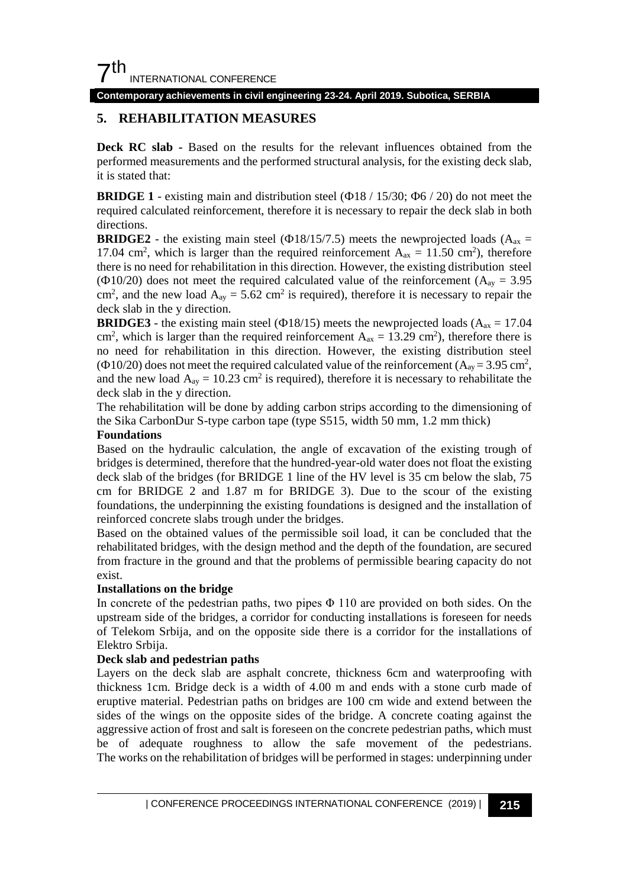**Contemporary achievements in civil engineering 23-24. April 2019. Subotica, SERBIA**

### **5. REHABILITATION MEASURES**

**Deck RC slab -** Based on the results for the relevant influences obtained from the performed measurements and the performed structural analysis, for the existing deck slab, it is stated that:

**BRIDGE 1** - existing main and distribution steel (Ф18 / 15/30; Ф6 / 20) do not meet the required calculated reinforcement, therefore it is necessary to repair the deck slab in both directions.

**BRIDGE2** - the existing main steel ( $\Phi$ 18/15/7.5) meets the newprojected loads ( $A_{ax}$  = 17.04 cm<sup>2</sup>, which is larger than the required reinforcement  $A_{ax} = 11.50 \text{ cm}^2$ , therefore there is no need for rehabilitation in this direction. However, the existing distribution steel ( $\Phi$ 10/20) does not meet the required calculated value of the reinforcement ( $A_{\text{av}} = 3.95$ ) cm<sup>2</sup>, and the new load  $A_{ay} = 5.62$  cm<sup>2</sup> is required), therefore it is necessary to repair the deck slab in the y direction.

**BRIDGE3** - the existing main steel ( $\Phi$ 18/15) meets the newprojected loads ( $A_{ax}$  = 17.04 cm<sup>2</sup>, which is larger than the required reinforcement  $A_{ax} = 13.29$  cm<sup>2</sup>), therefore there is no need for rehabilitation in this direction. However, the existing distribution steel ( $\Phi$ 10/20) does not meet the required calculated value of the reinforcement ( $A_{\text{ay}}$  = 3.95 cm<sup>2</sup>, and the new load  $A_{ay} = 10.23$  cm<sup>2</sup> is required), therefore it is necessary to rehabilitate the deck slab in the y direction.

The rehabilitation will be done by adding carbon strips according to the dimensioning of the Sika CarbonDur S-type carbon tape (type S515, width 50 mm, 1.2 mm thick)

#### **Foundations**

Based on the hydraulic calculation, the angle of excavation of the existing trough of bridges is determined, therefore that the hundred-year-old water does not float the existing deck slab of the bridges (for BRIDGE 1 line of the HV level is 35 cm below the slab, 75 cm for BRIDGE 2 and 1.87 m for BRIDGE 3). Due to the scour of the existing foundations, the underpinning the existing foundations is designed and the installation of reinforced concrete slabs trough under the bridges.

Based on the obtained values of the permissible soil load, it can be concluded that the rehabilitated bridges, with the design method and the depth of the foundation, are secured from fracture in the ground and that the problems of permissible bearing capacity do not exist.

#### **Installations on the bridge**

In concrete of the pedestrian paths, two pipes  $\Phi$  110 are provided on both sides. On the upstream side of the bridges, a corridor for conducting installations is foreseen for needs of Telekom Srbija, and on the opposite side there is a corridor for the installations of Elektro Srbija.

#### **Deck slab and pedestrian paths**

Layers on the deck slab are asphalt concrete, thickness 6cm and waterproofing with thickness 1cm. Bridge deck is a width of 4.00 m and ends with a stone curb made of eruptive material. Pedestrian paths on bridges are 100 cm wide and extend between the sides of the wings on the opposite sides of the bridge. A concrete coating against the aggressive action of frost and salt is foreseen on the concrete pedestrian paths, which must be of adequate roughness to allow the safe movement of the pedestrians. The works on the rehabilitation of bridges will be performed in stages: underpinning under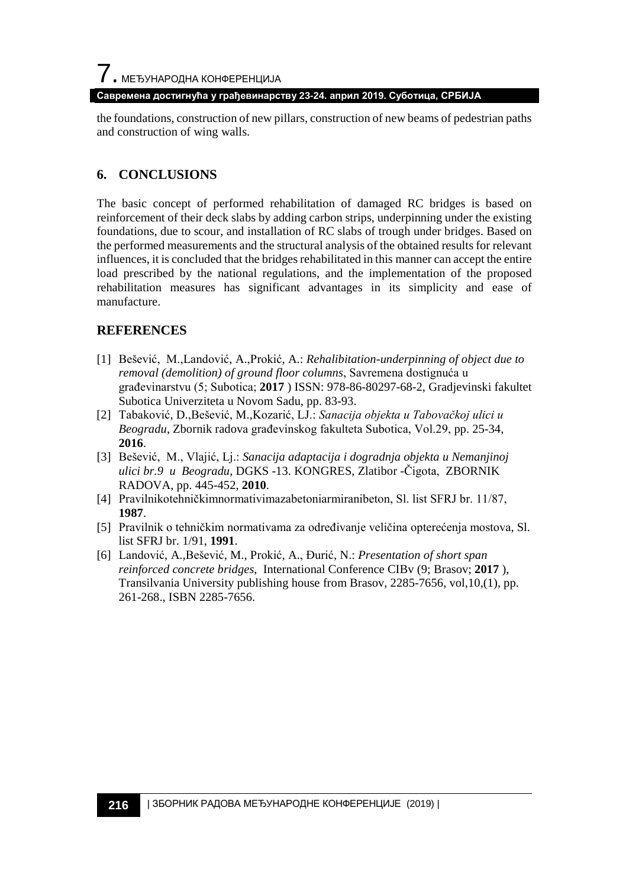the foundations, construction of new pillars, construction of new beams of pedestrian paths and construction of wing walls.

#### **6. CONCLUSIONS**

The basic concept of performed rehabilitation of damaged RC bridges is based on reinforcement of their deck slabs by adding carbon strips, underpinning under the existing foundations, due to scour, and installation of RC slabs of trough under bridges. Based on the performed measurements and the structural analysis of the obtained results for relevant influences, it is concluded that the bridges rehabilitated in this manner can accept the entire load prescribed by the national regulations, and the implementation of the proposed rehabilitation measures has significant advantages in its simplicity and ease of manufacture.

### **REFERENCES**

- [1] Bešević, M.,Landović, A.,Prokić, A.: *Rehalibitation-underpinning of object due to removal (demolition) of ground floor columns*, Savremena dostignuća u građevinarstvu (5; Subotica; **2017** ) ISSN: 978-86-80297-68-2, Gradjevinski fakultet Subotica Univerziteta u Novom Sadu, pp. 83-93.
- [2] Tabaković, D.,Bešević, M.,Kozarić, LJ.: *Sanacija objekta u Tabovačkoj ulici u Beogradu*, Zbornik radova građevinskog fakulteta Subotica, Vol.29, pp. 25-34, **2016**.
- [3] Bešević, M., Vlajić, Lj.: *Sanacija adaptacija i dogradnja objekta u Nemanjinoj ulici br.9 u Beogradu*, DGKS -13. KONGRES, Zlatibor -Čigota, ZBORNIK RADOVA, pp. 445-452, **2010**.
- [4] Pravilnikotehničkimnormativimazabetoniarmiranibeton, Sl. list SFRJ br. 11/87, **1987**.
- [5] Pravilnik o tehničkim normativama za određivanje veličina opterećenja mostova, Sl. list SFRJ br. 1/91, **1991**.
- [6] Landović, A.,Bešević, M., Prokić, A., Đurić, N.: *Presentation of short span reinforced concrete bridges*, International Conference CIBv (9; Brasov; **2017** ), Transilvania University publishing house from Brasov, 2285-7656, vol,10,(1), pp. 261-268., ISBN 2285-7656.